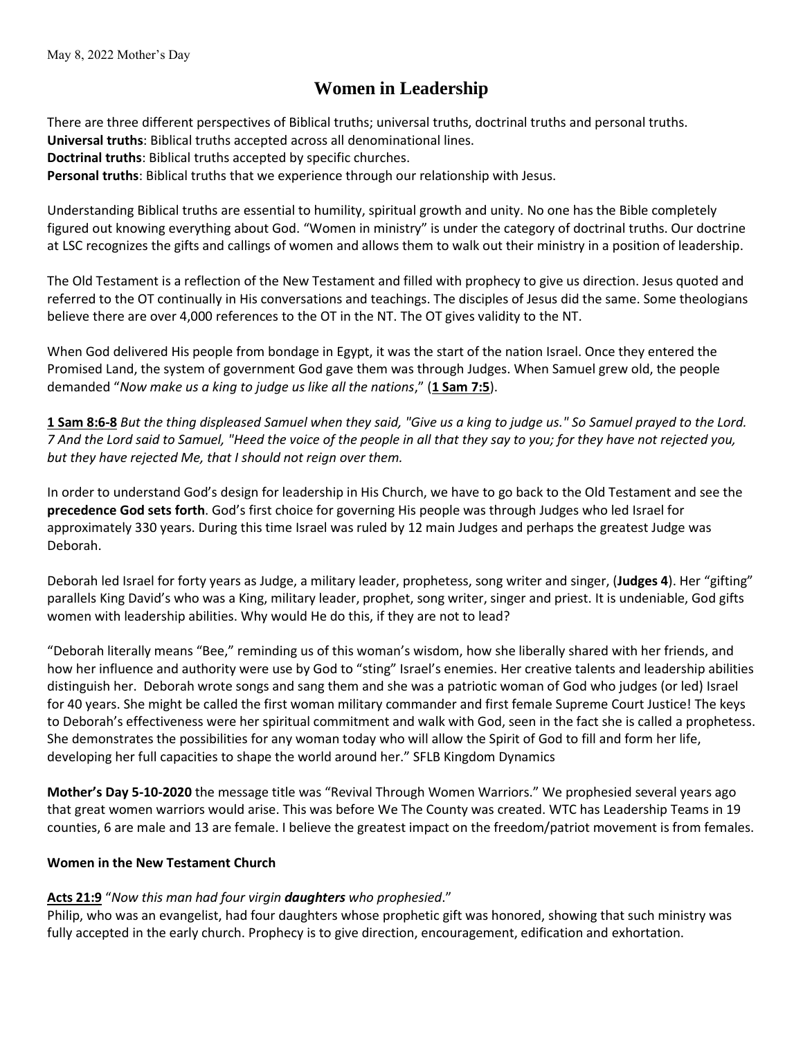## **Women in Leadership**

There are three different perspectives of Biblical truths; universal truths, doctrinal truths and personal truths. **Universal truths**: Biblical truths accepted across all denominational lines. **Doctrinal truths**: Biblical truths accepted by specific churches. **Personal truths**: Biblical truths that we experience through our relationship with Jesus.

Understanding Biblical truths are essential to humility, spiritual growth and unity. No one has the Bible completely figured out knowing everything about God. "Women in ministry" is under the category of doctrinal truths. Our doctrine at LSC recognizes the gifts and callings of women and allows them to walk out their ministry in a position of leadership.

The Old Testament is a reflection of the New Testament and filled with prophecy to give us direction. Jesus quoted and referred to the OT continually in His conversations and teachings. The disciples of Jesus did the same. Some theologians believe there are over 4,000 references to the OT in the NT. The OT gives validity to the NT.

When God delivered His people from bondage in Egypt, it was the start of the nation Israel. Once they entered the Promised Land, the system of government God gave them was through Judges. When Samuel grew old, the people demanded "*Now make us a king to judge us like all the nations*," (**1 Sam 7:5**).

**1 Sam 8:6-8** *But the thing displeased Samuel when they said, "Give us a king to judge us." So Samuel prayed to the Lord. 7 And the Lord said to Samuel, "Heed the voice of the people in all that they say to you; for they have not rejected you, but they have rejected Me, that I should not reign over them.* 

In order to understand God's design for leadership in His Church, we have to go back to the Old Testament and see the **precedence God sets forth**. God's first choice for governing His people was through Judges who led Israel for approximately 330 years. During this time Israel was ruled by 12 main Judges and perhaps the greatest Judge was Deborah.

Deborah led Israel for forty years as Judge, a military leader, prophetess, song writer and singer, (**Judges 4**). Her "gifting" parallels King David's who was a King, military leader, prophet, song writer, singer and priest. It is undeniable, God gifts women with leadership abilities. Why would He do this, if they are not to lead?

"Deborah literally means "Bee," reminding us of this woman's wisdom, how she liberally shared with her friends, and how her influence and authority were use by God to "sting" Israel's enemies. Her creative talents and leadership abilities distinguish her. Deborah wrote songs and sang them and she was a patriotic woman of God who judges (or led) Israel for 40 years. She might be called the first woman military commander and first female Supreme Court Justice! The keys to Deborah's effectiveness were her spiritual commitment and walk with God, seen in the fact she is called a prophetess. She demonstrates the possibilities for any woman today who will allow the Spirit of God to fill and form her life, developing her full capacities to shape the world around her." SFLB Kingdom Dynamics

**Mother's Day 5-10-2020** the message title was "Revival Through Women Warriors." We prophesied several years ago that great women warriors would arise. This was before We The County was created. WTC has Leadership Teams in 19 counties, 6 are male and 13 are female. I believe the greatest impact on the freedom/patriot movement is from females.

## **Women in the New Testament Church**

## **Acts 21:9** "*Now this man had four virgin daughters who prophesied*."

Philip, who was an evangelist, had four daughters whose prophetic gift was honored, showing that such ministry was fully accepted in the early church. Prophecy is to give direction, encouragement, edification and exhortation.